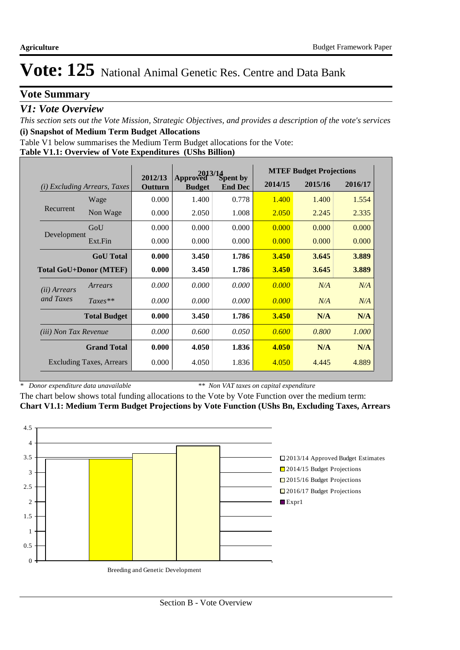## **Vote Summary**

## *V1: Vote Overview*

*This section sets out the Vote Mission, Strategic Objectives, and provides a description of the vote's services* **(i) Snapshot of Medium Term Budget Allocations** 

Table V1 below summarises the Medium Term Budget allocations for the Vote:

#### **Table V1.1: Overview of Vote Expenditures (UShs Billion)**

|                               |                                 | $2013/14$<br>ved $S$ pent by |                           |                | <b>MTEF Budget Projections</b> |         |         |  |
|-------------------------------|---------------------------------|------------------------------|---------------------------|----------------|--------------------------------|---------|---------|--|
| (i)                           | <i>Excluding Arrears, Taxes</i> | 2012/13<br>Outturn           | Approved<br><b>Budget</b> | <b>End Dec</b> | 2014/15                        | 2015/16 | 2016/17 |  |
|                               | Wage                            | 0.000                        | 1.400                     | 0.778          | 1.400                          | 1.400   | 1.554   |  |
| Recurrent                     | Non Wage                        | 0.000                        | 2.050                     | 1.008          | 2.050                          | 2.245   | 2.335   |  |
|                               | GoU                             | 0.000                        | 0.000                     | 0.000          | 0.000                          | 0.000   | 0.000   |  |
| Development                   | Ext.Fin                         | 0.000                        | 0.000                     | 0.000          | 0.000                          | 0.000   | 0.000   |  |
|                               | <b>GoU</b> Total                | 0.000                        | 3.450                     | 1.786          | 3.450                          | 3.645   | 3.889   |  |
| <b>Total GoU+Donor (MTEF)</b> |                                 | 0.000                        | 3.450                     | 1.786          | <b>3.450</b>                   | 3.645   | 3.889   |  |
| ( <i>ii</i> ) Arrears         | Arrears                         | 0.000                        | 0.000                     | 0.000          | 0.000                          | N/A     | N/A     |  |
| and Taxes                     | $Taxes**$                       | 0.000                        | 0.000                     | 0.000          | 0.000                          | N/A     | N/A     |  |
|                               | <b>Total Budget</b>             | 0.000                        | 3.450                     | 1.786          | 3.450                          | N/A     | N/A     |  |
| <i>(iii)</i> Non Tax Revenue  |                                 | 0.000                        | 0.600                     | 0.050          | 0.600                          | 0.800   | 1.000   |  |
|                               | <b>Grand Total</b>              | 0.000                        | 4.050                     | 1.836          | 4.050                          | N/A     | N/A     |  |
|                               | <b>Excluding Taxes, Arrears</b> | 0.000                        | 4.050                     | 1.836          | 4.050                          | 4.445   | 4.889   |  |

*\* Donor expenditure data unavailable*

*\*\* Non VAT taxes on capital expenditure*

The chart below shows total funding allocations to the Vote by Vote Function over the medium term: **Chart V1.1: Medium Term Budget Projections by Vote Function (UShs Bn, Excluding Taxes, Arrears**

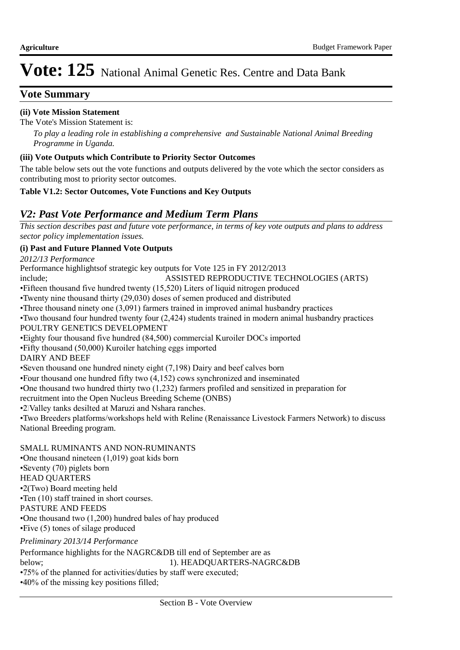## **Vote Summary**

## **(ii) Vote Mission Statement**

The Vote's Mission Statement is:

*To play a leading role in establishing a comprehensive and Sustainable National Animal Breeding Programme in Uganda.*

### **(iii) Vote Outputs which Contribute to Priority Sector Outcomes**

The table below sets out the vote functions and outputs delivered by the vote which the sector considers as contributing most to priority sector outcomes.

### **Table V1.2: Sector Outcomes, Vote Functions and Key Outputs**

## *V2: Past Vote Performance and Medium Term Plans*

*This section describes past and future vote performance, in terms of key vote outputs and plans to address sector policy implementation issues.* 

### **(i) Past and Future Planned Vote Outputs**

Performance highlightsof strategic key outputs for Vote 125 in FY 2012/2013 include; ASSISTED REPRODUCTIVE TECHNOLOGIES (ARTS) • Fifteen thousand five hundred twenty (15,520) Liters of liquid nitrogen produced • Twenty nine thousand thirty (29,030) doses of semen produced and distributed  $\cdot$ Three thousand ninety one (3,091) farmers trained in improved animal husbandry practices • Two thousand four hundred twenty four (2,424) students trained in modern animal husbandry practices POULTRY GENETICS DEVELOPMENT • Eighty four thousand five hundred (84,500) commercial Kuroiler DOCs imported • Fifty thousand (50,000) Kuroiler hatching eggs imported DAIRY AND BEEF • Seven thousand one hundred ninety eight (7,198) Dairy and beef calves born • Four thousand one hundred fifty two  $(4,152)$  cows synchronized and inseminated • One thousand two hundred thirty two (1,232) farmers profiled and sensitized in preparation for recruitment into the Open Nucleus Breeding Scheme (ONBS) • 2 Valley tanks desilted at Maruzi and Nshara ranches. • Two Breeders platforms/workshops held with Reline (Renaissance Livestock Farmers Network) to discuss National Breeding program. SMALL RUMINANTS AND NON-RUMINANTS • One thousand nineteen  $(1,019)$  goat kids born • Seventy (70) piglets born HEAD QUARTERS • 2(Two) Board meeting held • Ten (10) staff trained in short courses. PASTURE AND FEEDS • One thousand two (1,200) hundred bales of hay produced  $\cdot$ Five (5) tones of silage produced *2012/13 Performance Preliminary 2013/14 Performance*

Performance highlights for the NAGRC&DB till end of September are as below; 1). HEADQUARTERS-NAGRC&DB • 75% of the planned for activities/duties by staff were executed;

 $\cdot$ 40% of the missing key positions filled;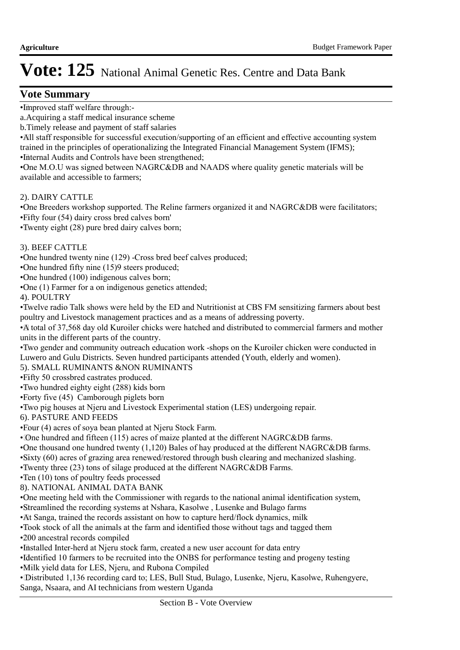## **Vote Summary**

•Improved staff welfare through:-

a. Acquiring a staff medical insurance scheme

b. Timely release and payment of staff salaries

• All staff responsible for successful execution/supporting of an efficient and effective accounting system trained in the principles of operationalizing the Integrated Financial Management System (IFMS);

• Internal Audits and Controls have been strengthened;

• One M.O.U was signed between NAGRC&DB and NAADS where quality genetic materials will be available and accessible to farmers;

2). DAIRY CATTLE

• One Breeders workshop supported. The Reline farmers organized it and NAGRC&DB were facilitators; • Fifty four (54) dairy cross bred calves born'

 $\cdot$ Twenty eight (28) pure bred dairy calves born;

3). BEEF CATTLE

• One hundred twenty nine (129) -Cross bred beef calves produced;

• One hundred fifty nine (15)9 steers produced;

• One hundred (100) indigenous calves born;

• One (1) Farmer for a on indigenous genetics attended;

4). POULTRY

• Twelve radio Talk shows were held by the ED and Nutritionist at CBS FM sensitizing farmers about best poultry and Livestock management practices and as a means of addressing poverty.

• A total of 37,568 day old Kuroiler chicks were hatched and distributed to commercial farmers and mother units in the different parts of the country.

• Two gender and community outreach education work -shops on the Kuroiler chicken were conducted in Luwero and Gulu Districts. Seven hundred participants attended (Youth, elderly and women).

5). SMALL RUMINANTS &NON RUMINANTS

• Fifty 50 crossbred castrates produced.

• Two hundred eighty eight (288) kids born

• Forty five (45) Camborough piglets born

• Two pig houses at Njeru and Livestock Experimental station (LES) undergoing repair.

6). PASTURE AND FEEDS

• Four (4) acres of soya bean planted at Njeru Stock Farm.

 $\cdot$  One hundred and fifteen (115) acres of maize planted at the different NAGRC&DB farms.

• One thousand one hundred twenty (1,120) Bales of hay produced at the different NAGRC&DB farms.

• Sixty (60) acres of grazing area renewed/restored through bush clearing and mechanized slashing.

• Twenty three (23) tons of silage produced at the different NAGRC&DB Farms.

 $\cdot$ Ten (10) tons of poultry feeds processed

8). NATIONAL ANIMAL DATA BANK

• One meeting held with the Commissioner with regards to the national animal identification system,

• Streamlined the recording systems at Nshara, Kasolwe , Lusenke and Bulago farms

• At Sanga, trained the records assistant on how to capture herd/flock dynamics, milk

•Took stock of all the animals at the farm and identified those without tags and tagged them

•200 ancestral records compiled

• Installed Inter-herd at Njeru stock farm, created a new user account for data entry

• Identified 10 farmers to be recruited into the ONBS for performance testing and progeny testing

• Milk yield data for LES, Njeru, and Rubona Compiled

• Distributed 1,136 recording card to; LES, Bull Stud, Bulago, Lusenke, Njeru, Kasolwe, Ruhengyere, Sanga, Nsaara, and AI technicians from western Uganda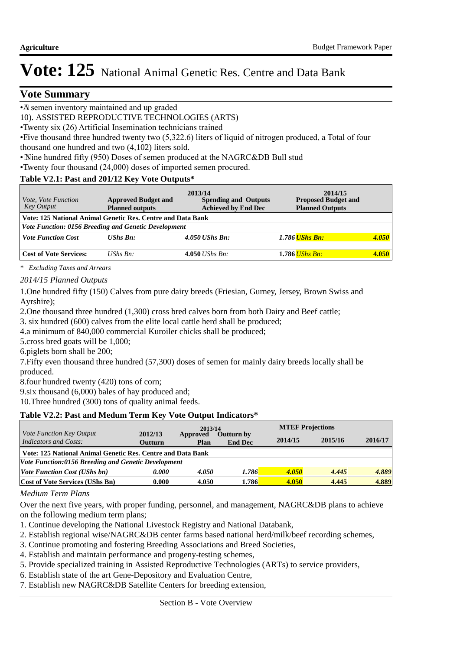## **Vote Summary**

• A semen inventory maintained and up graded

10). ASSISTED REPRODUCTIVE TECHNOLOGIES (ARTS)

• Twenty six (26) Artificial Insemination technicians trained

• Five thousand three hundred twenty two (5,322.6) liters of liquid of nitrogen produced, a Total of four thousand one hundred and two (4,102) liters sold.

• Nine hundred fifty (950) Doses of semen produced at the NAGRC&DB Bull stud

• Twenty four thousand (24,000) doses of imported semen procured.

### **Table V2.1: Past and 201/12 Key Vote Outputs\***

| <i>Vote, Vote Function</i><br>Key Output                    | <b>Approved Budget and</b><br><b>Planned outputs</b> | 2013/14<br><b>Spending and Outputs</b><br><b>Achieved by End Dec</b> | 2014/15<br><b>Proposed Budget and</b><br><b>Planned Outputs</b> |       |  |  |  |
|-------------------------------------------------------------|------------------------------------------------------|----------------------------------------------------------------------|-----------------------------------------------------------------|-------|--|--|--|
| Vote: 125 National Animal Genetic Res. Centre and Data Bank |                                                      |                                                                      |                                                                 |       |  |  |  |
| Vote Function: 0156 Breeding and Genetic Development        |                                                      |                                                                      |                                                                 |       |  |  |  |
| <b>Vote Function Cost</b>                                   | <b>UShs Bn:</b>                                      | $4.050$ UShs Bn:                                                     | 1.786 <mark>UShs Bn:</mark>                                     | 4.050 |  |  |  |
|                                                             |                                                      |                                                                      |                                                                 |       |  |  |  |
| <b>Cost of Vote Services:</b>                               | UShs $Bn$ :                                          | 4.050 <i>UShs Bn</i> :                                               | 1.786 UShs Bn:                                                  | 4.050 |  |  |  |

*\* Excluding Taxes and Arrears*

*2014/15 Planned Outputs*

1. One hundred fifty (150) Calves from pure dairy breeds (Friesian, Gurney, Jersey, Brown Swiss and Ayrshire);

2. One thousand three hundred (1,300) cross bred calves born from both Dairy and Beef cattle;

3. six hundred (600) calves from the elite local cattle herd shall be produced;

4.a minimum of 840,000 commercial Kuroiler chicks shall be produced;

5.cross bred goats will be 1,000;

6. piglets born shall be 200;

7. Fifty even thousand three hundred (57,300) doses of semen for mainly dairy breeds locally shall be produced.

8. four hundred twenty (420) tons of corn;

9. $s$ ix thousand (6,000) bales of hay produced and;

10. Three hundred (300) tons of quality animal feeds.

### **Table V2.2: Past and Medum Term Key Vote Output Indicators\***

|                                                             |                           | 2013/14          |                                     | <b>MTEF Projections</b> |         |         |  |  |
|-------------------------------------------------------------|---------------------------|------------------|-------------------------------------|-------------------------|---------|---------|--|--|
| Vote Function Key Output<br><b>Indicators and Costs:</b>    | 2012/13<br><b>Outturn</b> | Approved<br>Plan | <b>Outturn by</b><br><b>End Dec</b> | 2014/15                 | 2015/16 | 2016/17 |  |  |
| Vote: 125 National Animal Genetic Res. Centre and Data Bank |                           |                  |                                     |                         |         |         |  |  |
| Vote Function:0156 Breeding and Genetic Development         |                           |                  |                                     |                         |         |         |  |  |
| <i>Vote Function Cost (UShs bn)</i>                         | 0.000                     | 4.050            | 1.786                               | 4.050                   | 4.445   | 4.889   |  |  |
| <b>Cost of Vote Services (UShs Bn)</b>                      | 0.000                     | 4.050            | 1.786                               | 4.050                   | 4.445   | 4.889   |  |  |

#### *Medium Term Plans*

Over the next five years, with proper funding, personnel, and management, NAGRC&DB plans to achieve on the following medium term plans;

- 1. Continue developing the National Livestock Registry and National Databank,
- 2. Establish regional wise/NAGRC&DB center farms based national herd/milk/beef recording schemes,
- 3. Continue promoting and fostering Breeding Associations and Breed Societies,
- 4. Establish and maintain performance and progeny-testing schemes,
- 5. Provide specialized training in Assisted Reproductive Technologies (ARTs) to service providers,
- 6. Establish state of the art Gene-Depository and Evaluation Centre,
- 7. Establish new NAGRC&DB Satellite Centers for breeding extension,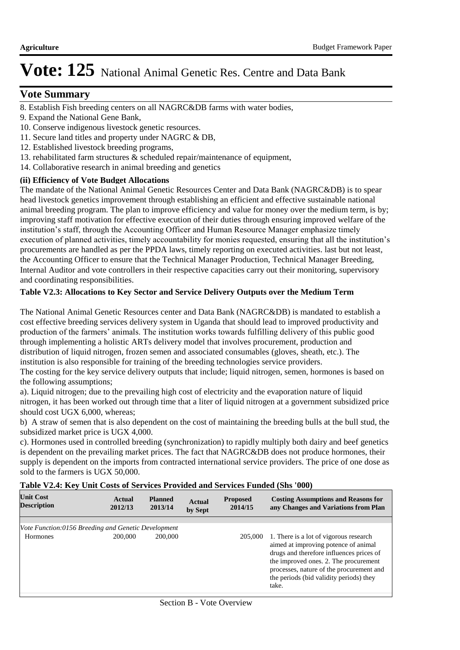## **Vote Summary**

- 8. Establish Fish breeding centers on all NAGRC&DB farms with water bodies,
- 9. Expand the National Gene Bank,
- 10. Conserve indigenous livestock genetic resources.
- 11. Secure land titles and property under NAGRC & DB,
- 12. Established livestock breeding programs,
- 13. rehabilitated farm structures & scheduled repair/maintenance of equipment,
- 14. Collaborative research in animal breeding and genetics

#### **(ii) Efficiency of Vote Budget Allocations**

The mandate of the National Animal Genetic Resources Center and Data Bank (NAGRC&DB) is to spear head livestock genetics improvement through establishing an efficient and effective sustainable national animal breeding program. The plan to improve efficiency and value for money over the medium term, is by; improving staff motivation for effective execution of their duties through ensuring improved welfare of the institution's staff, through the Accounting Officer and Human Resource Manager emphasize timely execution of planned activities, timely accountability for monies requested, ensuring that all the institution's procurements are handled as per the PPDA laws, timely reporting on executed activities. last but not least, the Accounting Officer to ensure that the Technical Manager Production, Technical Manager Breeding, Internal Auditor and vote controllers in their respective capacities carry out their monitoring, supervisory and coordinating responsibilities.

### **Table V2.3: Allocations to Key Sector and Service Delivery Outputs over the Medium Term**

The National Animal Genetic Resources center and Data Bank (NAGRC&DB) is mandated to establish a cost effective breeding services delivery system in Uganda that should lead to improved productivity and production of the farmers' animals. The institution works towards fulfilling delivery of this public good through implementing a holistic ARTs delivery model that involves procurement, production and distribution of liquid nitrogen, frozen semen and associated consumables (gloves, sheath, etc.). The institution is also responsible for training of the breeding technologies service providers.

The costing for the key service delivery outputs that include; liquid nitrogen, semen, hormones is based on the following assumptions;

a). Liquid nitrogen; due to the prevailing high cost of electricity and the evaporation nature of liquid nitrogen, it has been worked out through time that a liter of liquid nitrogen at a government subsidized price should cost UGX 6,000, whereas;

b) A straw of semen that is also dependent on the cost of maintaining the breeding bulls at the bull stud, the subsidized market price is UGX 4,000.

c). Hormones used in controlled breeding (synchronization) to rapidly multiply both dairy and beef genetics is dependent on the prevailing market prices. The fact that NAGRC&DB does not produce hormones, their supply is dependent on the imports from contracted international service providers. The price of one dose as sold to the farmers is UGX 50,000.

|  |  |  | Table V2.4: Key Unit Costs of Services Provided and Services Funded (Shs '000) |  |  |
|--|--|--|--------------------------------------------------------------------------------|--|--|
|  |  |  |                                                                                |  |  |

| <b>Unit Cost</b><br><b>Description</b>              | <b>Actual</b><br>2012/13 | <b>Planned</b><br>2013/14 | Actual<br>by Sept | <b>Proposed</b><br>2014/15 | <b>Costing Assumptions and Reasons for</b><br>any Changes and Variations from Plan                                                                                                                                                                                  |
|-----------------------------------------------------|--------------------------|---------------------------|-------------------|----------------------------|---------------------------------------------------------------------------------------------------------------------------------------------------------------------------------------------------------------------------------------------------------------------|
|                                                     |                          |                           |                   |                            |                                                                                                                                                                                                                                                                     |
| Vote Function:0156 Breeding and Genetic Development |                          |                           |                   |                            |                                                                                                                                                                                                                                                                     |
| <b>Hormones</b>                                     | 200,000                  | 200,000                   |                   | 205,000                    | 1. There is a lot of vigorous research<br>aimed at improving potence of animal<br>drugs and therefore influences prices of<br>the improved ones. 2. The procurement<br>processes, nature of the procurement and<br>the periods (bid validity periods) they<br>take. |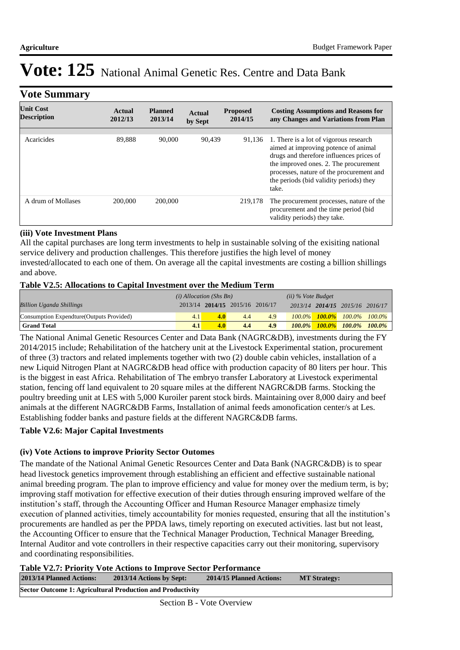### **Vote Summary**

| <b>Unit Cost</b><br><b>Description</b> | Actual<br>2012/13 | <b>Planned</b><br>2013/14 | Actual<br>by Sept | <b>Proposed</b><br>2014/15 | <b>Costing Assumptions and Reasons for</b><br>any Changes and Variations from Plan                                                                                                                                                                                  |
|----------------------------------------|-------------------|---------------------------|-------------------|----------------------------|---------------------------------------------------------------------------------------------------------------------------------------------------------------------------------------------------------------------------------------------------------------------|
|                                        |                   |                           |                   |                            |                                                                                                                                                                                                                                                                     |
| Acaricides                             | 89,888            | 90,000                    | 90,439            | 91.136                     | 1. There is a lot of vigorous research<br>aimed at improving potence of animal<br>drugs and therefore influences prices of<br>the improved ones. 2. The procurement<br>processes, nature of the procurement and<br>the periods (bid validity periods) they<br>take. |
| A drum of Mollases                     | 200,000           | 200,000                   |                   | 219,178                    | The procurement processes, nature of the<br>procurement and the time period (bid<br>validity periods) they take.                                                                                                                                                    |

#### **(iii) Vote Investment Plans**

All the capital purchases are long term investments to help in sustainable solving of the exisiting national service delivery and production challenges. This therefore justifies the high level of money invested/allocated to each one of them. On average all the capital investments are costing a billion shillings and above.

#### **Table V2.5: Allocations to Capital Investment over the Medium Term**

|                                           | $(i)$ Allocation (Shs Bn) |     |                                 | $(ii)$ % Vote Budget |           |  |                                         |  |
|-------------------------------------------|---------------------------|-----|---------------------------------|----------------------|-----------|--|-----------------------------------------|--|
| <b>Billion Uganda Shillings</b>           |                           |     | 2013/14 2014/15 2015/16 2016/17 |                      |           |  | 2013/14 2014/15 2015/16 2016/17         |  |
| Consumption Expendture (Outputs Provided) | 4.1                       | 4.0 | 4.4                             | 4.9                  |           |  | $100.0\%$ $100.0\%$ $100.0\%$ $100.0\%$ |  |
| <b>Grand Total</b>                        | 4.1                       | 4.0 | 4.4                             | 4.9                  | $100.0\%$ |  | $100.0\%$ 100.0% 100.0%                 |  |

The National Animal Genetic Resources Center and Data Bank (NAGRC&DB), investments during the FY 2014/2015 include; Rehabilitation of the hatchery unit at the Livestock Experimental station, procurement of three (3) tractors and related implements together with two (2) double cabin vehicles, installation of a new Liquid Nitrogen Plant at NAGRC&DB head office with production capacity of 80 liters per hour. This is the biggest in east Africa. Rehabilitation of The embryo transfer Laboratory at Livestock experimental station, fencing off land equivalent to 20 square miles at the different NAGRC&DB farms. Stocking the poultry breeding unit at LES with 5,000 Kuroiler parent stock birds. Maintaining over 8,000 dairy and beef animals at the different NAGRC&DB Farms, Installation of animal feeds amonofication center/s at Les. Establishing fodder banks and pasture fields at the different NAGRC&DB farms.

### **Table V2.6: Major Capital Investments**

#### **(iv) Vote Actions to improve Priority Sector Outomes**

The mandate of the National Animal Genetic Resources Center and Data Bank (NAGRC&DB) is to spear head livestock genetics improvement through establishing an efficient and effective sustainable national animal breeding program. The plan to improve efficiency and value for money over the medium term, is by; improving staff motivation for effective execution of their duties through ensuring improved welfare of the institution's staff, through the Accounting Officer and Human Resource Manager emphasize timely execution of planned activities, timely accountability for monies requested, ensuring that all the institution's procurements are handled as per the PPDA laws, timely reporting on executed activities. last but not least, the Accounting Officer to ensure that the Technical Manager Production, Technical Manager Breeding, Internal Auditor and vote controllers in their respective capacities carry out their monitoring, supervisory and coordinating responsibilities.

**Table V2.7: Priority Vote Actions to Improve Sector Performance** 

| 2013/14 Planned Actions: | 2013/14 Actions by Sept:                                          | 2014/15 Planned Actions: | <b>MT Strategy:</b> |
|--------------------------|-------------------------------------------------------------------|--------------------------|---------------------|
|                          | <b>Sector Outcome 1: Agricultural Production and Productivity</b> |                          |                     |
|                          |                                                                   |                          |                     |

Section B - Vote Overview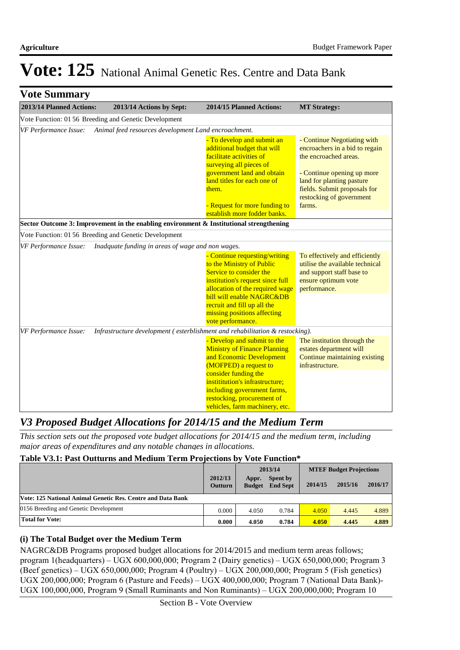| <b>Vote Summary</b>                                   |                                                      |                                                                                                                                                                                                                                                         |                                                                                                                                                                                                                         |
|-------------------------------------------------------|------------------------------------------------------|---------------------------------------------------------------------------------------------------------------------------------------------------------------------------------------------------------------------------------------------------------|-------------------------------------------------------------------------------------------------------------------------------------------------------------------------------------------------------------------------|
| 2013/14 Planned Actions:                              | 2013/14 Actions by Sept:                             | 2014/15 Planned Actions:                                                                                                                                                                                                                                | <b>MT Strategy:</b>                                                                                                                                                                                                     |
| Vote Function: 01 56 Breeding and Genetic Development |                                                      |                                                                                                                                                                                                                                                         |                                                                                                                                                                                                                         |
| VF Performance Issue:                                 | Animal feed resources development Land encroachment. |                                                                                                                                                                                                                                                         |                                                                                                                                                                                                                         |
|                                                       |                                                      | - To develop and submit an<br>additional budget that will<br>facilitate activities of<br>surveying all pieces of<br>government land and obtain<br>land titles for each one of<br>them.<br>- Request for more funding to<br>establish more fodder banks. | - Continue Negotiating with<br>encroachers in a bid to regain<br>the encroached areas.<br>- Continue opening up more<br>land for planting pasture<br>fields. Submit proposals for<br>restocking of government<br>farms. |
|                                                       |                                                      | Sector Outcome 3: Improvement in the enabling environment & Institutional strengthening                                                                                                                                                                 |                                                                                                                                                                                                                         |
| Vote Function: 01 56 Breeding and Genetic Development |                                                      |                                                                                                                                                                                                                                                         |                                                                                                                                                                                                                         |
| <b>VF Performance Issue:</b>                          | Inadquate funding in areas of wage and non wages.    |                                                                                                                                                                                                                                                         |                                                                                                                                                                                                                         |
|                                                       |                                                      | - Continue requesting/writing<br>to the Ministry of Public<br>Service to consider the<br>institution's request since full<br>allocation of the required wage<br>bill will enable NAGRC&DB<br>recruit and fill up all the<br>missing positions affecting | To effectively and efficiently<br>utilise the available technical<br>and support staff base to<br>ensure optimum vote<br>performance.                                                                                   |
|                                                       |                                                      | vote performance.                                                                                                                                                                                                                                       |                                                                                                                                                                                                                         |
| VF Performance Issue:                                 |                                                      | Infrastructure development (esterblishment and rehabilitation & restocking).                                                                                                                                                                            |                                                                                                                                                                                                                         |
|                                                       |                                                      | - Develop and submit to the<br><b>Ministry of Finance Planning</b><br>and Economic Development<br>(MOFPED) a request to                                                                                                                                 | The institution through the<br>estates department will<br>Continue maintaining existing<br>infrastructure.                                                                                                              |
|                                                       |                                                      | consider funding the<br>instititution's infrastructure;<br>including government farms,<br>restocking, procurement of<br>vehicles, farm machinery, etc.                                                                                                  |                                                                                                                                                                                                                         |

## *V3 Proposed Budget Allocations for 2014/15 and the Medium Term*

*This section sets out the proposed vote budget allocations for 2014/15 and the medium term, including major areas of expenditures and any notable changes in allocations.* 

## **Table V3.1: Past Outturns and Medium Term Projections by Vote Function\***

|                                                             |                           |                        | 2013/14                     |         | <b>MTEF Budget Projections</b> |         |  |
|-------------------------------------------------------------|---------------------------|------------------------|-----------------------------|---------|--------------------------------|---------|--|
|                                                             | 2012/13<br><b>Outturn</b> | Appr.<br><b>Budget</b> | Spent by<br><b>End Sept</b> | 2014/15 | 2015/16                        | 2016/17 |  |
| Vote: 125 National Animal Genetic Res. Centre and Data Bank |                           |                        |                             |         |                                |         |  |
| 0156 Breeding and Genetic Development                       | 0.000                     | 4.050                  | 0.784                       | 4.050   | 4.445                          | 4.889   |  |
| <b>Total for Vote:</b>                                      | 0.000                     | 4.050                  | 0.784                       | 4.050   | 4.445                          | 4.889   |  |

## **(i) The Total Budget over the Medium Term**

NAGRC&DB Programs proposed budget allocations for 2014/2015 and medium term areas follows; program 1(headquarters) – UGX 600,000,000; Program 2 (Dairy genetics) – UGX 650,000,000; Program 3 (Beef genetics) – UGX 650,000,000; Program 4 (Poultry) – UGX 200,000,000; Program 5 (Fish genetics) UGX 200,000,000; Program 6 (Pasture and Feeds) – UGX 400,000,000; Program 7 (National Data Bank)- UGX 100,000,000, Program 9 (Small Ruminants and Non Ruminants) – UGX 200,000,000; Program 10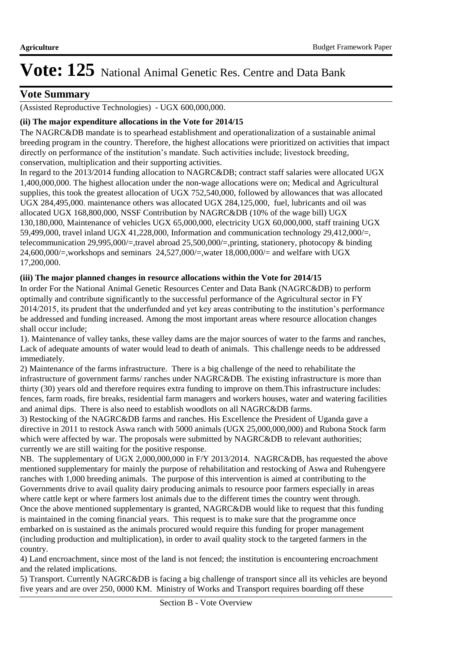## **Vote Summary**

(Assisted Reproductive Technologies) - UGX 600,000,000.

### **(ii) The major expenditure allocations in the Vote for 2014/15**

The NAGRC&DB mandate is to spearhead establishment and operationalization of a sustainable animal breeding program in the country. Therefore, the highest allocations were prioritized on activities that impact directly on performance of the institution's mandate. Such activities include; livestock breeding, conservation, multiplication and their supporting activities.

In regard to the 2013/2014 funding allocation to NAGRC&DB; contract staff salaries were allocated UGX 1,400,000,000. The highest allocation under the non-wage allocations were on; Medical and Agricultural supplies, this took the greatest allocation of UGX 752,540,000, followed by allowances that was allocated UGX 284,495,000. maintenance others was allocated UGX 284,125,000, fuel, lubricants and oil was allocated UGX 168,800,000, NSSF Contribution by NAGRC&DB (10% of the wage bill) UGX 130,180,000, Maintenance of vehicles UGX 65,000,000, electricity UGX 60,000,000, staff training UGX 59,499,000, travel inland UGX 41,228,000, Information and communication technology 29,412,000/=, telecommunication 29,995,000/=,travel abroad 25,500,000/=,printing, stationery, photocopy & binding 24,600,000/=,workshops and seminars 24,527,000/=,water 18,000,000/= and welfare with UGX 17,200,000.

### **(iii) The major planned changes in resource allocations within the Vote for 2014/15**

In order For the National Animal Genetic Resources Center and Data Bank (NAGRC&DB) to perform optimally and contribute significantly to the successful performance of the Agricultural sector in FY 2014/2015, its prudent that the underfunded and yet key areas contributing to the institution's performance be addressed and funding increased. Among the most important areas where resource allocation changes shall occur include;

1). Maintenance of valley tanks, these valley dams are the major sources of water to the farms and ranches, Lack of adequate amounts of water would lead to death of animals. This challenge needs to be addressed immediately.

2) Maintenance of the farms infrastructure. There is a big challenge of the need to rehabilitate the infrastructure of government farms/ ranches under NAGRC&DB. The existing infrastructure is more than thirty (30) years old and therefore requires extra funding to improve on them.This infrastructure includes: fences, farm roads, fire breaks, residential farm managers and workers houses, water and watering facilities and animal dips. There is also need to establish woodlots on all NAGRC&DB farms.

3) Restocking of the NAGRC&DB farms and ranches. His Excellence the President of Uganda gave a directive in 2011 to restock Aswa ranch with 5000 animals (UGX 25,000,000,000) and Rubona Stock farm which were affected by war. The proposals were submitted by NAGRC&DB to relevant authorities; currently we are still waiting for the positive response.

NB. The supplementary of UGX 2,000,000,000 in F/Y 2013/2014. NAGRC&DB, has requested the above mentioned supplementary for mainly the purpose of rehabilitation and restocking of Aswa and Ruhengyere ranches with 1,000 breeding animals. The purpose of this intervention is aimed at contributing to the Governments drive to avail quality dairy producing animals to resource poor farmers especially in areas where cattle kept or where farmers lost animals due to the different times the country went through. Once the above mentioned supplementary is granted, NAGRC&DB would like to request that this funding is maintained in the coming financial years. This request is to make sure that the programme once embarked on is sustained as the animals procured would require this funding for proper management (including production and multiplication), in order to avail quality stock to the targeted farmers in the country.

4) Land encroachment, since most of the land is not fenced; the institution is encountering encroachment and the related implications.

5) Transport. Currently NAGRC&DB is facing a big challenge of transport since all its vehicles are beyond five years and are over 250, 0000 KM. Ministry of Works and Transport requires boarding off these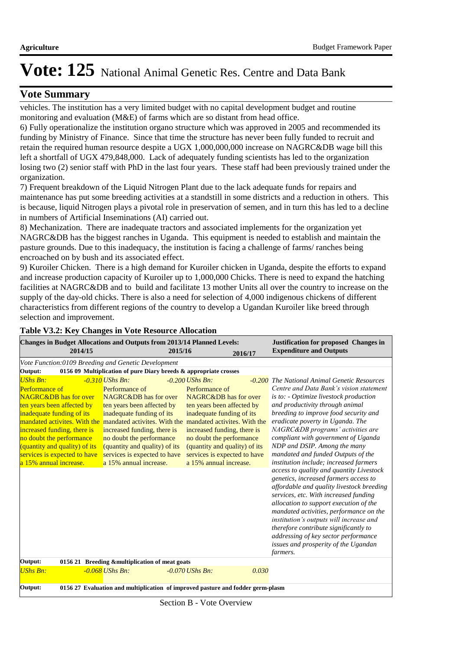## **Vote Summary**

vehicles. The institution has a very limited budget with no capital development budget and routine monitoring and evaluation (M&E) of farms which are so distant from head office.

6) Fully operationalize the institution organo structure which was approved in 2005 and recommended its funding by Ministry of Finance. Since that time the structure has never been fully funded to recruit and retain the required human resource despite a UGX 1,000,000,000 increase on NAGRC&DB wage bill this left a shortfall of UGX 479,848,000. Lack of adequately funding scientists has led to the organization losing two (2) senior staff with PhD in the last four years. These staff had been previously trained under the organization.

7) Frequent breakdown of the Liquid Nitrogen Plant due to the lack adequate funds for repairs and maintenance has put some breeding activities at a standstill in some districts and a reduction in others. This is because, liquid Nitrogen plays a pivotal role in preservation of semen, and in turn this has led to a decline in numbers of Artificial Inseminations (AI) carried out.

8) Mechanization. There are inadequate tractors and associated implements for the organization yet NAGRC&DB has the biggest ranches in Uganda. This equipment is needed to establish and maintain the pasture grounds. Due to this inadequacy, the institution is facing a challenge of farms/ ranches being encroached on by bush and its associated effect.

9) Kuroiler Chicken. There is a high demand for Kuroiler chicken in Uganda, despite the efforts to expand and increase production capacity of Kuroiler up to 1,000,000 Chicks. There is need to expand the hatching facilities at NAGRC&DB and to build and facilitate 13 mother Units all over the country to increase on the supply of the day-old chicks. There is also a need for selection of 4,000 indigenous chickens of different characteristics from different regions of the country to develop a Ugandan Kuroiler like breed through selection and improvement.

| <b>Changes in Budget Allocations and Outputs from 2013/14 Planned Levels:</b><br>2014/15                                                                                                                                                                                                                                                                   |                                                                                                                                                                                                                                                                               | 2015/16                                                                                                                                                                                                                                                                                                       | 2016/17 | <b>Justification for proposed Changes in</b><br><b>Expenditure and Outputs</b>                                                                                                                                                                                                                                                                                                                                                                                                                                                                                                                                                                                                                                                                                                                                                                                                                |
|------------------------------------------------------------------------------------------------------------------------------------------------------------------------------------------------------------------------------------------------------------------------------------------------------------------------------------------------------------|-------------------------------------------------------------------------------------------------------------------------------------------------------------------------------------------------------------------------------------------------------------------------------|---------------------------------------------------------------------------------------------------------------------------------------------------------------------------------------------------------------------------------------------------------------------------------------------------------------|---------|-----------------------------------------------------------------------------------------------------------------------------------------------------------------------------------------------------------------------------------------------------------------------------------------------------------------------------------------------------------------------------------------------------------------------------------------------------------------------------------------------------------------------------------------------------------------------------------------------------------------------------------------------------------------------------------------------------------------------------------------------------------------------------------------------------------------------------------------------------------------------------------------------|
| Vote Function:0109 Breeding and Genetic Development                                                                                                                                                                                                                                                                                                        |                                                                                                                                                                                                                                                                               |                                                                                                                                                                                                                                                                                                               |         |                                                                                                                                                                                                                                                                                                                                                                                                                                                                                                                                                                                                                                                                                                                                                                                                                                                                                               |
| Output:                                                                                                                                                                                                                                                                                                                                                    | 0156 09 Multiplication of pure Diary breeds & appropriate crosses                                                                                                                                                                                                             |                                                                                                                                                                                                                                                                                                               |         |                                                                                                                                                                                                                                                                                                                                                                                                                                                                                                                                                                                                                                                                                                                                                                                                                                                                                               |
| <b>UShs Bn:</b><br><b>Performance of</b><br><b>NAGRC&amp;DB</b> has for over<br>ten years been affected by<br>inadequate funding of its<br>mandated activites. With the mandated activites. With the<br>increased funding, there is<br>no doubt the performance<br>(quantity and quality) of its<br>services is expected to have<br>a 15% annual increase. | $-0.310$ UShs Bn:<br>Performance of<br>NAGRC&DB has for over<br>ten years been affected by<br>inadequate funding of its<br>increased funding, there is<br>no doubt the performance<br>(quantity and quality) of its<br>services is expected to have<br>a 15% annual increase. | $-0.200$ UShs Bn:<br>Performance of<br>NAGRC&DB has for over<br>ten years been affected by<br>inadequate funding of its<br>mandated activites. With the<br>increased funding, there is<br>no doubt the performance<br>(quantity and quality) of its<br>services is expected to have<br>a 15% annual increase. |         | -0.200 The National Animal Genetic Resources<br>Centre and Data Bank's vision statement<br>is to: - Optimize livestock production<br>and productivity through animal<br>breeding to improve food security and<br>eradicate poverty in Uganda. The<br>NAGRC&DB programs' activities are<br>compliant with government of Uganda<br>NDP and DSIP. Among the many<br>mandated and funded Outputs of the<br>institution include; increased farmers<br>access to quality and quantity Livestock<br>genetics, increased farmers access to<br>affordable and quality livestock breeding<br>services, etc. With increased funding<br>allocation to support execution of the<br>mandated activities, performance on the<br>institution's outputs will increase and<br>therefore contribute significantly to<br>addressing of key sector performance<br>issues and prosperity of the Ugandan<br>farmers. |
| Output:                                                                                                                                                                                                                                                                                                                                                    | 0156 21 Breeding & multiplication of meat goats                                                                                                                                                                                                                               |                                                                                                                                                                                                                                                                                                               |         |                                                                                                                                                                                                                                                                                                                                                                                                                                                                                                                                                                                                                                                                                                                                                                                                                                                                                               |
| <b>UShs Bn:</b>                                                                                                                                                                                                                                                                                                                                            | $-0.068$ UShs Bn:                                                                                                                                                                                                                                                             | $-0.070$ UShs Bn:                                                                                                                                                                                                                                                                                             | 0.030   |                                                                                                                                                                                                                                                                                                                                                                                                                                                                                                                                                                                                                                                                                                                                                                                                                                                                                               |
| Output:                                                                                                                                                                                                                                                                                                                                                    | 0156 27 Evaluation and multiplication of improved pasture and fodder germ-plasm                                                                                                                                                                                               |                                                                                                                                                                                                                                                                                                               |         |                                                                                                                                                                                                                                                                                                                                                                                                                                                                                                                                                                                                                                                                                                                                                                                                                                                                                               |

#### **Table V3.2: Key Changes in Vote Resource Allocation**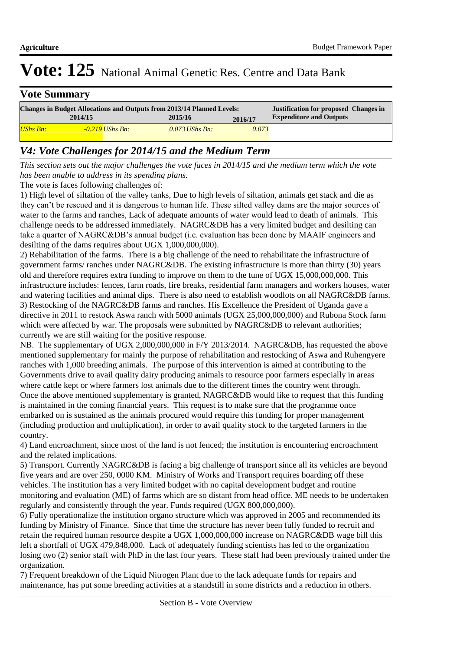| <b>Vote Summary</b>                                                                                                           |         |                   |                  |         |                                |  |  |  |
|-------------------------------------------------------------------------------------------------------------------------------|---------|-------------------|------------------|---------|--------------------------------|--|--|--|
| <b>Changes in Budget Allocations and Outputs from 2013/14 Planned Levels:</b><br><b>Justification for proposed Changes in</b> |         |                   |                  |         |                                |  |  |  |
|                                                                                                                               | 2014/15 |                   | 2015/16          | 2016/17 | <b>Expenditure and Outputs</b> |  |  |  |
| <b>UShs Bn:</b>                                                                                                               |         | $-0.219$ UShs Bn: | $0.073$ UShs Bn: | 0.073   |                                |  |  |  |

## *V4: Vote Challenges for 2014/15 and the Medium Term*

*This section sets out the major challenges the vote faces in 2014/15 and the medium term which the vote has been unable to address in its spending plans.*

The vote is faces following challenges of:

1) High level of siltation of the valley tanks, Due to high levels of siltation, animals get stack and die as they can't be rescued and it is dangerous to human life. These silted valley dams are the major sources of water to the farms and ranches, Lack of adequate amounts of water would lead to death of animals. This challenge needs to be addressed immediately. NAGRC&DB has a very limited budget and desilting can take a quarter of NAGRC&DB's annual budget (i.e. evaluation has been done by MAAIF engineers and desilting of the dams requires about UGX 1,000,000,000).

2) Rehabilitation of the farms. There is a big challenge of the need to rehabilitate the infrastructure of government farms/ ranches under NAGRC&DB. The existing infrastructure is more than thirty (30) years old and therefore requires extra funding to improve on them to the tune of UGX 15,000,000,000. This infrastructure includes: fences, farm roads, fire breaks, residential farm managers and workers houses, water and watering facilities and animal dips. There is also need to establish woodlots on all NAGRC&DB farms. 3) Restocking of the NAGRC&DB farms and ranches. His Excellence the President of Uganda gave a directive in 2011 to restock Aswa ranch with 5000 animals (UGX 25,000,000,000) and Rubona Stock farm which were affected by war. The proposals were submitted by NAGRC&DB to relevant authorities; currently we are still waiting for the positive response.

NB. The supplementary of UGX 2,000,000,000 in F/Y 2013/2014. NAGRC&DB, has requested the above mentioned supplementary for mainly the purpose of rehabilitation and restocking of Aswa and Ruhengyere ranches with 1,000 breeding animals. The purpose of this intervention is aimed at contributing to the Governments drive to avail quality dairy producing animals to resource poor farmers especially in areas where cattle kept or where farmers lost animals due to the different times the country went through. Once the above mentioned supplementary is granted, NAGRC&DB would like to request that this funding is maintained in the coming financial years. This request is to make sure that the programme once embarked on is sustained as the animals procured would require this funding for proper management (including production and multiplication), in order to avail quality stock to the targeted farmers in the country.

4) Land encroachment, since most of the land is not fenced; the institution is encountering encroachment and the related implications.

5) Transport. Currently NAGRC&DB is facing a big challenge of transport since all its vehicles are beyond five years and are over 250, 0000 KM. Ministry of Works and Transport requires boarding off these vehicles. The institution has a very limited budget with no capital development budget and routine monitoring and evaluation (ME) of farms which are so distant from head office. ME needs to be undertaken regularly and consistently through the year. Funds required (UGX 800,000,000).

6) Fully operationalize the institution organo structure which was approved in 2005 and recommended its funding by Ministry of Finance. Since that time the structure has never been fully funded to recruit and retain the required human resource despite a UGX 1,000,000,000 increase on NAGRC&DB wage bill this left a shortfall of UGX 479,848,000. Lack of adequately funding scientists has led to the organization losing two (2) senior staff with PhD in the last four years. These staff had been previously trained under the organization.

7) Frequent breakdown of the Liquid Nitrogen Plant due to the lack adequate funds for repairs and maintenance, has put some breeding activities at a standstill in some districts and a reduction in others.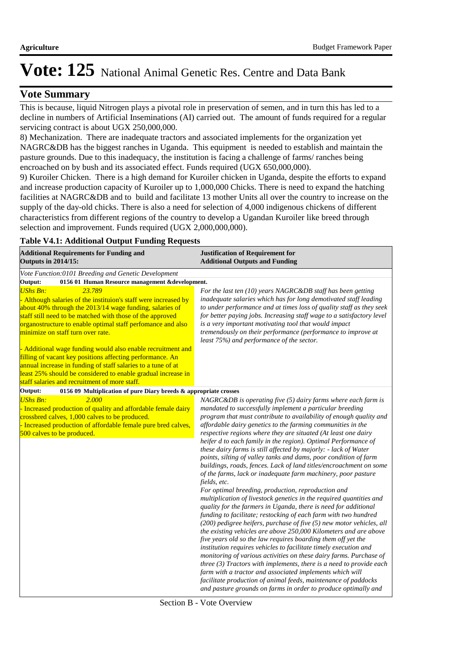### **Vote Summary**

This is because, liquid Nitrogen plays a pivotal role in preservation of semen, and in turn this has led to a decline in numbers of Artificial Inseminations (AI) carried out. The amount of funds required for a regular servicing contract is about UGX 250,000,000.

8) Mechanization. There are inadequate tractors and associated implements for the organization yet NAGRC&DB has the biggest ranches in Uganda. This equipment is needed to establish and maintain the pasture grounds. Due to this inadequacy, the institution is facing a challenge of farms/ ranches being encroached on by bush and its associated effect. Funds required (UGX 650,000,000).

9) Kuroiler Chicken. There is a high demand for Kuroiler chicken in Uganda, despite the efforts to expand and increase production capacity of Kuroiler up to 1,000,000 Chicks. There is need to expand the hatching facilities at NAGRC&DB and to build and facilitate 13 mother Units all over the country to increase on the supply of the day-old chicks. There is also a need for selection of 4,000 indigenous chickens of different characteristics from different regions of the country to develop a Ugandan Kuroiler like breed through selection and improvement. Funds required (UGX 2,000,000,000).

#### **Table V4.1: Additional Output Funding Requests**

| <b>Additional Requirements for Funding and</b><br><b>Outputs in 2014/15:</b>                                                                                                                                                                                                                                                                                                                                                                                                                                                                                                                                                          | <b>Justification of Requirement for</b><br><b>Additional Outputs and Funding</b>                                                                                                                                                                                                                                                                                                                                                                                                                                                                                                                                                                                                                                                                                                                                                                                                                                                                                                                                                                                                                                                                                                                                                                                                                                                                                                                                                                                                                                                                                                                      |
|---------------------------------------------------------------------------------------------------------------------------------------------------------------------------------------------------------------------------------------------------------------------------------------------------------------------------------------------------------------------------------------------------------------------------------------------------------------------------------------------------------------------------------------------------------------------------------------------------------------------------------------|-------------------------------------------------------------------------------------------------------------------------------------------------------------------------------------------------------------------------------------------------------------------------------------------------------------------------------------------------------------------------------------------------------------------------------------------------------------------------------------------------------------------------------------------------------------------------------------------------------------------------------------------------------------------------------------------------------------------------------------------------------------------------------------------------------------------------------------------------------------------------------------------------------------------------------------------------------------------------------------------------------------------------------------------------------------------------------------------------------------------------------------------------------------------------------------------------------------------------------------------------------------------------------------------------------------------------------------------------------------------------------------------------------------------------------------------------------------------------------------------------------------------------------------------------------------------------------------------------------|
| Vote Function:0101 Breeding and Genetic Development                                                                                                                                                                                                                                                                                                                                                                                                                                                                                                                                                                                   |                                                                                                                                                                                                                                                                                                                                                                                                                                                                                                                                                                                                                                                                                                                                                                                                                                                                                                                                                                                                                                                                                                                                                                                                                                                                                                                                                                                                                                                                                                                                                                                                       |
| Output:<br>0156 01 Human Resource management &development.                                                                                                                                                                                                                                                                                                                                                                                                                                                                                                                                                                            |                                                                                                                                                                                                                                                                                                                                                                                                                                                                                                                                                                                                                                                                                                                                                                                                                                                                                                                                                                                                                                                                                                                                                                                                                                                                                                                                                                                                                                                                                                                                                                                                       |
| <b>UShs Bn:</b><br>23.789<br>- Although salaries of the instituion's staff were increased by<br>about 40% through the 2013/14 wage funding, salaries of<br>staff still need to be matched with those of the approved<br>organostructure to enable optimal staff perfomance and also<br>minimize on staff turn over rate.<br>- Additional wage funding would also enable recruitment and<br>filling of vacant key positions affecting performance. An<br>annual increase in funding of staff salaries to a tune of at<br>least 25% should be considered to enable gradual increase in<br>staff salaries and recruitment of more staff. | For the last ten $(10)$ years NAGRC&DB staff has been getting<br>inadequate salaries which has for long demotivated staff leading<br>to under performance and at times loss of quality staff as they seek<br>for better paying jobs. Increasing staff wage to a satisfactory level<br>is a very important motivating tool that would impact<br>tremendously on their performance (performance to improve at<br>least 75%) and performance of the sector.                                                                                                                                                                                                                                                                                                                                                                                                                                                                                                                                                                                                                                                                                                                                                                                                                                                                                                                                                                                                                                                                                                                                              |
| Output:<br>0156 09 Multiplication of pure Diary breeds & appropriate crosses                                                                                                                                                                                                                                                                                                                                                                                                                                                                                                                                                          |                                                                                                                                                                                                                                                                                                                                                                                                                                                                                                                                                                                                                                                                                                                                                                                                                                                                                                                                                                                                                                                                                                                                                                                                                                                                                                                                                                                                                                                                                                                                                                                                       |
| <b>UShs Bn:</b><br>2.000<br>- Increased production of quality and affordable female dairy<br>crossbred calves, 1,000 calves to be produced.<br>- Increased production of affordable female pure bred calves,<br>500 calves to be produced.                                                                                                                                                                                                                                                                                                                                                                                            | $NAGRC\&DB$ is operating five (5) dairy farms where each farm is<br>mandated to successfully implement a particular breeding<br>program that must contribute to availability of enough quality and<br>affordable dairy genetics to the farming communities in the<br>respective regions where they are situated (At least one dairy<br>heifer d to each family in the region). Optimal Performance of<br>these dairy farms is still affected by majorly: - lack of Water<br>points, silting of valley tanks and dams, poor condition of farm<br>buildings, roads, fences. Lack of land titles/encroachment on some<br>of the farms, lack or inadequate farm machinery, poor pasture<br>fields, etc.<br>For optimal breeding, production, reproduction and<br>multiplication of livestock genetics in the required quantities and<br>quality for the farmers in Uganda, there is need for additional<br>funding to facilitate; restocking of each farm with two hundred<br>(200) pedigree heifers, purchase of five (5) new motor vehicles, all<br>the existing vehicles are above 250,000 Kilometers and are above<br>five years old so the law requires boarding them off yet the<br>institution requires vehicles to facilitate timely execution and<br>monitoring of various activities on these dairy farms. Purchase of<br>three $(3)$ Tractors with implements, there is a need to provide each<br>farm with a tractor and associated implements which will<br>facilitate production of animal feeds, maintenance of paddocks<br>and pasture grounds on farms in order to produce optimally and |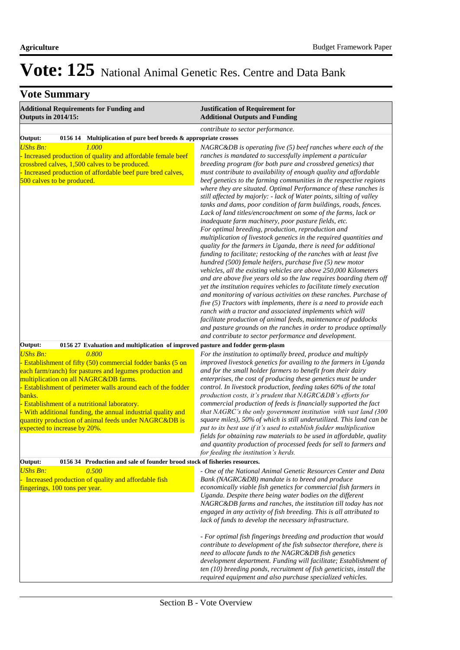# **Vote Summary**

| <b>Additional Requirements for Funding and</b><br><b>Outputs in 2014/15:</b>                                                                                                                                                                                                                                                                                                                                                                                                | <b>Justification of Requirement for</b><br><b>Additional Outputs and Funding</b>                                                                                                                                                                                                                                                                                                                                                                                                                                                                                                                                                                                                                                                                                                                                                                                                                                                                                                                                   |  |  |  |
|-----------------------------------------------------------------------------------------------------------------------------------------------------------------------------------------------------------------------------------------------------------------------------------------------------------------------------------------------------------------------------------------------------------------------------------------------------------------------------|--------------------------------------------------------------------------------------------------------------------------------------------------------------------------------------------------------------------------------------------------------------------------------------------------------------------------------------------------------------------------------------------------------------------------------------------------------------------------------------------------------------------------------------------------------------------------------------------------------------------------------------------------------------------------------------------------------------------------------------------------------------------------------------------------------------------------------------------------------------------------------------------------------------------------------------------------------------------------------------------------------------------|--|--|--|
|                                                                                                                                                                                                                                                                                                                                                                                                                                                                             | contribute to sector performance.                                                                                                                                                                                                                                                                                                                                                                                                                                                                                                                                                                                                                                                                                                                                                                                                                                                                                                                                                                                  |  |  |  |
| Multiplication of pure beef breeds & appropriate crosses<br>Output:<br>0156 14                                                                                                                                                                                                                                                                                                                                                                                              |                                                                                                                                                                                                                                                                                                                                                                                                                                                                                                                                                                                                                                                                                                                                                                                                                                                                                                                                                                                                                    |  |  |  |
| <b>UShs Bn:</b><br>1.000<br>- Increased production of quality and affordable female beef<br>crossbred calves, 1,500 calves to be produced.<br>- Increased production of affordable beef pure bred calves,<br>500 calves to be produced.                                                                                                                                                                                                                                     | $NAGRC\&DB$ is operating five (5) beef ranches where each of the<br>ranches is mandated to successfully implement a particular<br>breeding program (for both pure and crossbred genetics) that<br>must contribute to availability of enough quality and affordable<br>beef genetics to the farming communities in the respective regions<br>where they are situated. Optimal Performance of these ranches is<br>still affected by majorly: - lack of Water points, silting of valley<br>tanks and dams, poor condition of farm buildings, roads, fences.<br>Lack of land titles/encroachment on some of the farms, lack or                                                                                                                                                                                                                                                                                                                                                                                         |  |  |  |
|                                                                                                                                                                                                                                                                                                                                                                                                                                                                             | inadequate farm machinery, poor pasture fields, etc.<br>For optimal breeding, production, reproduction and<br>multiplication of livestock genetics in the required quantities and<br>quality for the farmers in Uganda, there is need for additional<br>funding to facilitate; restocking of the ranches with at least five<br>hundred (500) female heifers, purchase five (5) new motor<br>vehicles, all the existing vehicles are above 250,000 Kilometers<br>and are above five years old so the law requires boarding them off<br>yet the institution requires vehicles to facilitate timely execution<br>and monitoring of various activities on these ranches. Purchase of<br>five (5) Tractors with implements, there is a need to provide each<br>ranch with a tractor and associated implements which will<br>facilitate production of animal feeds, maintenance of paddocks<br>and pasture grounds on the ranches in order to produce optimally<br>and contribute to sector performance and development. |  |  |  |
| Output:<br>0156 27 Evaluation and multiplication of improved pasture and fodder germ-plasm                                                                                                                                                                                                                                                                                                                                                                                  |                                                                                                                                                                                                                                                                                                                                                                                                                                                                                                                                                                                                                                                                                                                                                                                                                                                                                                                                                                                                                    |  |  |  |
| <b>UShs Bn:</b><br>0.800<br>- Establishment of fifty (50) commercial fodder banks (5 on<br>each farm/ranch) for pastures and legumes production and<br>multiplication on all NAGRC&DB farms.<br>Establishment of perimeter walls around each of the fodder<br>banks.<br>Establishment of a nutritional laboratory.<br>- With additional funding, the annual industrial quality and<br>quantity production of animal feeds under NAGRC&DB is<br>expected to increase by 20%. | For the institution to optimally breed, produce and multiply<br>improved livestock genetics for availing to the farmers in Uganda<br>and for the small holder farmers to benefit from their dairy<br>enterprises, the cost of producing these genetics must be under<br>control. In livestock production, feeding takes 60% of the total<br>production costs, it's prudent that NAGRC&DB's efforts for<br>commercial production of feeds is financially supported the fact<br>that NAGRC's the only government institution with vast land (300<br>square miles), 50% of which is still underutilized. This land can be<br>put to its best use if it's used to establish fodder multiplication<br>fields for obtaining raw materials to be used in affordable, quality<br>and quantity production of processed feeds for sell to farmers and<br>for feeding the institution's herds.                                                                                                                                |  |  |  |
| Output:<br>0156 34 Production and sale of founder brood stock of fisheries resources.                                                                                                                                                                                                                                                                                                                                                                                       |                                                                                                                                                                                                                                                                                                                                                                                                                                                                                                                                                                                                                                                                                                                                                                                                                                                                                                                                                                                                                    |  |  |  |
| <b>UShs Bn:</b><br>0.500<br>Increased production of quality and affordable fish<br>fingerings, 100 tons per year.                                                                                                                                                                                                                                                                                                                                                           | - One of the National Animal Genetic Resources Center and Data<br>Bank (NAGRC&DB) mandate is to breed and produce<br>economically viable fish genetics for commercial fish farmers in<br>Uganda. Despite there being water bodies on the different<br>NAGRC&DB farms and ranches, the institution till today has not<br>engaged in any activity of fish breeding. This is all attributed to<br>lack of funds to develop the necessary infrastructure.                                                                                                                                                                                                                                                                                                                                                                                                                                                                                                                                                              |  |  |  |
|                                                                                                                                                                                                                                                                                                                                                                                                                                                                             | - For optimal fish fingerings breeding and production that would<br>contribute to development of the fish subsector therefore, there is<br>need to allocate funds to the NAGRC&DB fish genetics<br>development department. Funding will facilitate; Establishment of<br>ten (10) breeding ponds, recruitment of fish geneticists, install the<br>required equipment and also purchase specialized vehicles.                                                                                                                                                                                                                                                                                                                                                                                                                                                                                                                                                                                                        |  |  |  |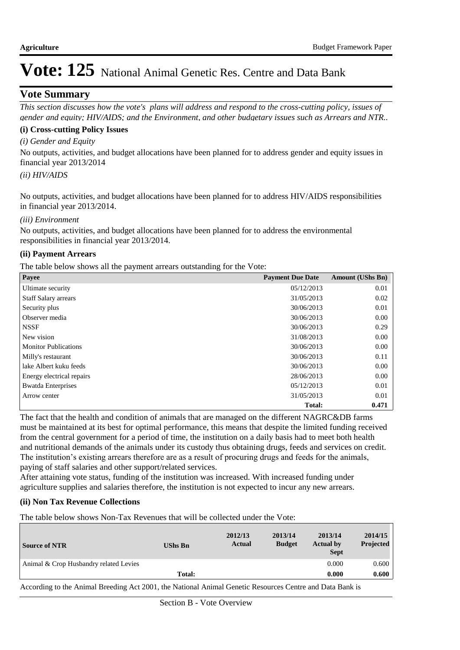## **Vote Summary**

*This section discusses how the vote's plans will address and respond to the cross-cutting policy, issues of gender and equity; HIV/AIDS; and the Environment, and other budgetary issues such as Arrears and NTR..* 

#### **(i) Cross-cutting Policy Issues**

*(i) Gender and Equity*

No outputs, activities, and budget allocations have been planned for to address gender and equity issues in financial year 2013/2014

### *(ii) HIV/AIDS*

No outputs, activities, and budget allocations have been planned for to address HIV/AIDS responsibilities in financial year 2013/2014.

#### *(iii) Environment*

No outputs, activities, and budget allocations have been planned for to address the environmental responsibilities in financial year 2013/2014.

#### **(ii) Payment Arrears**

The table below shows all the payment arrears outstanding for the Vote:

| Payee                       | <b>Payment Due Date</b> | <b>Amount (UShs Bn)</b> |
|-----------------------------|-------------------------|-------------------------|
| Ultimate security           | 05/12/2013              | 0.01                    |
| <b>Staff Salary arrears</b> | 31/05/2013              | 0.02                    |
| Security plus               | 30/06/2013              | 0.01                    |
| Observer media              | 30/06/2013              | 0.00                    |
| <b>NSSF</b>                 | 30/06/2013              | 0.29                    |
| New vision                  | 31/08/2013              | 0.00                    |
| <b>Monitor Publications</b> | 30/06/2013              | 0.00                    |
| Milly's restaurant          | 30/06/2013              | 0.11                    |
| lake Albert kuku feeds      | 30/06/2013              | 0.00                    |
| Energy electrical repairs   | 28/06/2013              | 0.00                    |
| <b>Bwatda Enterprises</b>   | 05/12/2013              | 0.01                    |
| Arrow center                | 31/05/2013              | 0.01                    |
|                             | Total:                  | 0.471                   |

The fact that the health and condition of animals that are managed on the different NAGRC&DB farms must be maintained at its best for optimal performance, this means that despite the limited funding received from the central government for a period of time, the institution on a daily basis had to meet both health and nutritional demands of the animals under its custody thus obtaining drugs, feeds and services on credit. The institution's existing arrears therefore are as a result of procuring drugs and feeds for the animals, paying of staff salaries and other support/related services.

After attaining vote status, funding of the institution was increased. With increased funding under agriculture supplies and salaries therefore, the institution is not expected to incur any new arrears.

#### **(ii) Non Tax Revenue Collections**

The table below shows Non-Tax Revenues that will be collected under the Vote:

| <b>Source of NTR</b>                                                             | <b>UShs Bn</b> | 2012/13<br>Actual | 2013/14<br><b>Budget</b> | 2013/14<br><b>Actual by</b><br><b>Sept</b> | 2014/15<br>Projected |
|----------------------------------------------------------------------------------|----------------|-------------------|--------------------------|--------------------------------------------|----------------------|
| Animal & Crop Husbandry related Levies                                           |                |                   |                          | 0.000                                      | 0.600                |
|                                                                                  | <b>Total:</b>  |                   |                          | 0.000                                      | 0.600                |
| $\mathbf{u}$ and $\mathbf{v}$ and $\mathbf{u}$ and $\mathbf{v}$ and $\mathbf{v}$ |                |                   | $\sim$ $\sim$            | $\sim$ $\sim$ $\sim$ $\sim$ $\sim$ $\sim$  |                      |

According to the Animal Breeding Act 2001, the National Animal Genetic Resources Centre and Data Bank is